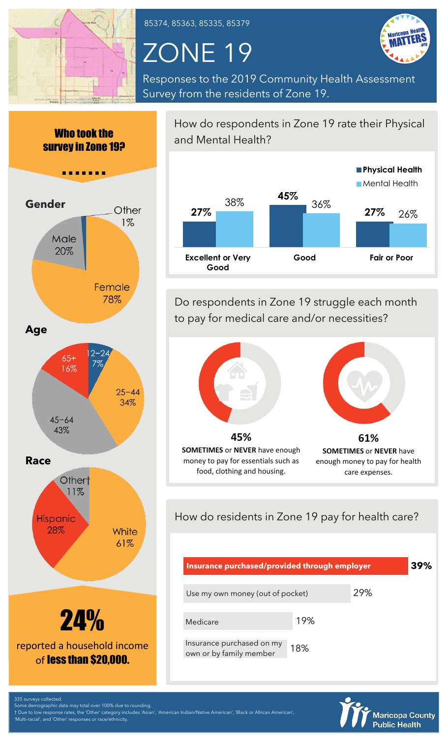

85374, 85363, 85335, 85379

# ZONE 19



Responses to the 2019 Community Health Assessment Survey from the residents of Zone 19.





24% reported a household income of less than \$20,000.

How do respondents in Zone 19 rate their Physical and Mental Health?



Do respondents in Zone 19 struggle each month to pay for medical care and/or necessities?



**SOMETIMES** or **NEVER** have enough money to pay for essentials such as food, clothing and housing.



**61% SOMETIMES** or **NEVER** have enough money to pay for health care expenses.

How do residents in Zone 19 pay for health care?

| Insurance purchased/provided through employer        |     |     | 39% |
|------------------------------------------------------|-----|-----|-----|
| Use my own money (out of pocket)                     |     | 29% |     |
| Medicare                                             | 19% |     |     |
| Insurance purchased on my<br>own or by family member | 18% |     |     |



335 surveys collected.

Some demographic data may total over 100% due to rounding. † Due to low response rates, the 'Other' category includes 'Asian', 'American Indian/Native American', 'Black or African American',

'Multi-racial', and 'Other' responses or race/ethnicity.